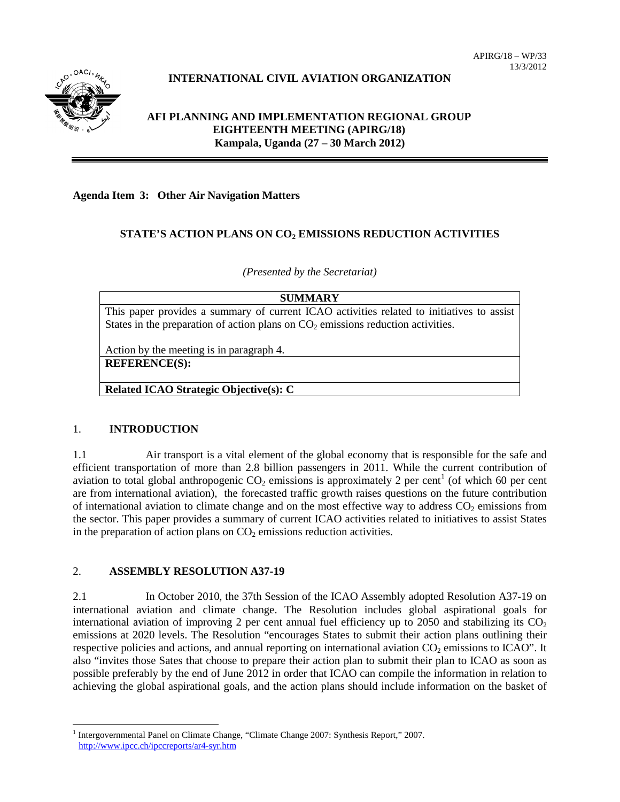

# **INTERNATIONAL CIVIL AVIATION ORGANIZATION**

# **AFI PLANNING AND IMPLEMENTATION REGIONAL GROUP EIGHTEENTH MEETING (APIRG/18) Kampala, Uganda (27 – 30 March 2012)**

## **Agenda Item 3: Other Air Navigation Matters**

## **STATE'S ACTION PLANS ON CO2 EMISSIONS REDUCTION ACTIVITIES**

*(Presented by the Secretariat)*

**SUMMARY**

This paper provides a summary of current ICAO activities related to initiatives to assist States in the preparation of action plans on  $CO<sub>2</sub>$  emissions reduction activities.

Action by the meeting is in paragraph 4.

**REFERENCE(S):**

**Related ICAO Strategic Objective(s): C**

## 1. **INTRODUCTION**

1.1 Air transport is a vital element of the global economy that is responsible for the safe and efficient transportation of more than 2.8 billion passengers in 2011. While the current contribution of aviation to total global anthropogenic CO<sub>2</sub> emissions is approximately 2 per cent<sup>[1](#page-0-0)</sup> (of which 60 per cent are from international aviation), the forecasted traffic growth raises questions on the future contribution of international aviation to climate change and on the most effective way to address  $CO<sub>2</sub>$  emissions from the sector. This paper provides a summary of current ICAO activities related to initiatives to assist States in the preparation of action plans on  $CO<sub>2</sub>$  emissions reduction activities.

#### 2. **ASSEMBLY RESOLUTION A37-19**

2.1 In October 2010, the 37th Session of the ICAO Assembly adopted Resolution A37-19 on international aviation and climate change. The Resolution includes global aspirational goals for international aviation of improving 2 per cent annual fuel efficiency up to 2050 and stabilizing its  $CO<sub>2</sub>$ emissions at 2020 levels. The Resolution "encourages States to submit their action plans outlining their respective policies and actions, and annual reporting on international aviation CO<sub>2</sub> emissions to ICAO". It also "invites those Sates that choose to prepare their action plan to submit their plan to ICAO as soon as possible preferably by the end of June 2012 in order that ICAO can compile the information in relation to achieving the global aspirational goals, and the action plans should include information on the basket of

<span id="page-0-0"></span> <sup>1</sup> Intergovernmental Panel on Climate Change, "Climate Change 2007: Synthesis Report," 2007. <http://www.ipcc.ch/ipccreports/ar4-syr.htm>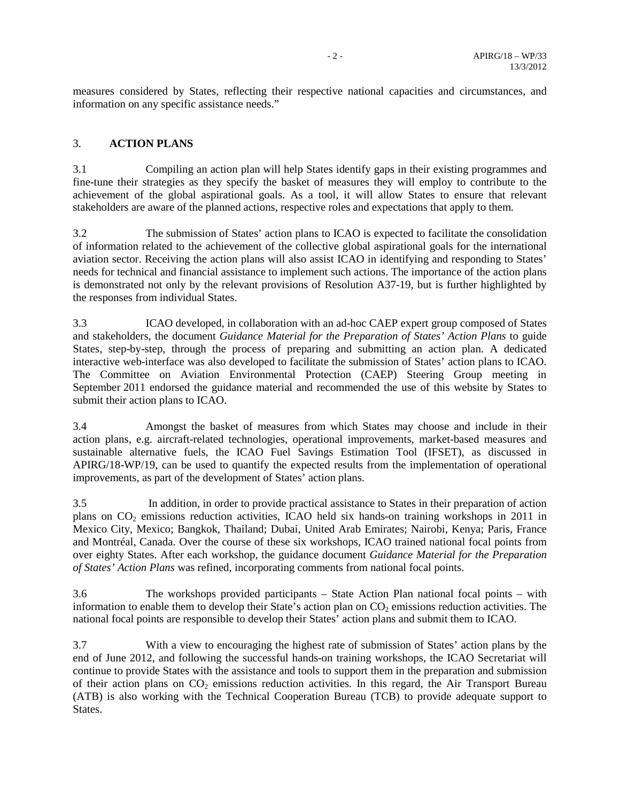measures considered by States, reflecting their respective national capacities and circumstances, and information on any specific assistance needs."

## 3. **ACTION PLANS**

3.1 Compiling an action plan will help States identify gaps in their existing programmes and fine-tune their strategies as they specify the basket of measures they will employ to contribute to the achievement of the global aspirational goals. As a tool, it will allow States to ensure that relevant stakeholders are aware of the planned actions, respective roles and expectations that apply to them.

3.2 The submission of States' action plans to ICAO is expected to facilitate the consolidation of information related to the achievement of the collective global aspirational goals for the international aviation sector. Receiving the action plans will also assist ICAO in identifying and responding to States' needs for technical and financial assistance to implement such actions. The importance of the action plans is demonstrated not only by the relevant provisions of Resolution A37-19, but is further highlighted by the responses from individual States.

3.3 ICAO developed, in collaboration with an ad-hoc CAEP expert group composed of States and stakeholders, the document *Guidance Material for the Preparation of States' Action Plans* to guide States, step-by-step, through the process of preparing and submitting an action plan. A dedicated interactive web-interface was also developed to facilitate the submission of States' action plans to ICAO. The Committee on Aviation Environmental Protection (CAEP) Steering Group meeting in September 2011 endorsed the guidance material and recommended the use of this website by States to submit their action plans to ICAO.

3.4 Amongst the basket of measures from which States may choose and include in their action plans, e.g. aircraft-related technologies, operational improvements, market-based measures and sustainable alternative fuels, the ICAO Fuel Savings Estimation Tool (IFSET), as discussed in APIRG/18-WP/19, can be used to quantify the expected results from the implementation of operational improvements, as part of the development of States' action plans.

3.5 In addition, in order to provide practical assistance to States in their preparation of action plans on  $CO_2$  emissions reduction activities, ICAO held six hands-on training workshops in 2011 in Mexico City, Mexico; Bangkok, Thailand; Dubai, United Arab Emirates; Nairobi, Kenya; Paris, France and Montréal, Canada. Over the course of these six workshops, ICAO trained national focal points from over eighty States. After each workshop, the guidance document *Guidance Material for the Preparation of States' Action Plans* was refined, incorporating comments from national focal points.

3.6 The workshops provided participants – State Action Plan national focal points – with information to enable them to develop their State's action plan on  $CO<sub>2</sub>$  emissions reduction activities. The national focal points are responsible to develop their States' action plans and submit them to ICAO.

3.7 With a view to encouraging the highest rate of submission of States' action plans by the end of June 2012, and following the successful hands-on training workshops, the ICAO Secretariat will continue to provide States with the assistance and tools to support them in the preparation and submission of their action plans on  $CO<sub>2</sub>$  emissions reduction activities. In this regard, the Air Transport Bureau (ATB) is also working with the Technical Cooperation Bureau (TCB) to provide adequate support to States.